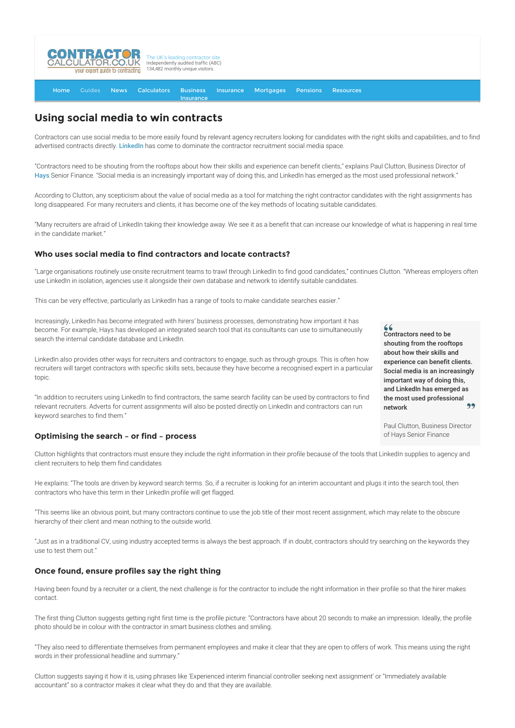

[Home](http://www.contractorcalculator.co.uk/) [Guides](http://www.contractorcalculator.co.uk/Articles.aspx) [News](http://www.contractorcalculator.co.uk/Contractor_News.aspx) [Calculators](http://www.contractorcalculator.co.uk/Calculators.aspx) Business **[Insurance](http://www.contractorcalculator.co.uk/Contractor_Insurances.aspx)** [Insurance](http://www.contractorcalculator.co.uk/Insurance.aspx) [Mortgages](http://www.contractorcalculator.co.uk/Contractor_Mortgages.aspx) [Pensions](http://www.contractorcalculator.co.uk/Contractor_Pensions.aspx) [Resources](http://www.contractorcalculator.co.uk/Contractor_Resources.aspx)

# **Using social media to win contracts**

Contractors can use social media to be more easily found by relevant agency recruiters looking for candidates with the right skills and capabilities, and to find advertised contracts directly. [LinkedIn](http://www.linkedin.com/) has come to dominate the contractor recruitment social media space.

"Contractors need to be shouting from the rooftops about how their skills and experience can benefit clients," explains Paul Clutton, Business Director of [Hays](http://www.hays.co.uk/) Senior Finance. "Social media is an increasingly important way of doing this, and LinkedIn has emerged as the most used professional network."

According to Clutton, any scepticism about the value of social media as a tool for matching the right contractor candidates with the right assignments has long disappeared. For many recruiters and clients, it has become one of the key methods of locating suitable candidates.

"Many recruiters are afraid of LinkedIn taking their knowledge away. We see it as a benefit that can increase our knowledge of what is happening in real time in the candidate market."

## **Who uses social media to find contractors and locate contracts?**

"Large organisations routinely use onsite recruitment teams to trawl through LinkedIn to find good candidates," continues Clutton. "Whereas employers often use LinkedIn in isolation, agencies use it alongside their own database and network to identify suitable candidates.

This can be very effective, particularly as LinkedIn has a range of tools to make candidate searches easier."

Increasingly, LinkedIn has become integrated with hirers' business processes, demonstrating how important it has become. For example, Hays has developed an integrated search tool that its consultants can use to simultaneously search the internal candidate database and LinkedIn.

LinkedIn also provides other ways for recruiters and contractors to engage, such as through groups. This is often how recruiters will target contractors with specific skills sets, because they have become a recognised expert in a particular topic.

"In addition to recruiters using LinkedIn to find contractors, the same search facility can be used by contractors to find relevant recruiters. Adverts for current assignments will also be posted directly on LinkedIn and contractors can run keyword searches to find them."

## **Optimising the search – or find – process**

Clutton highlights that contractors must ensure they include the right information in their profile because of the tools that LinkedIn supplies to agency and client recruiters to help them find candidates

He explains: "The tools are driven by keyword search terms. So, if a recruiter is looking for an interim accountant and plugs it into the search tool, then contractors who have this term in their LinkedIn profile will get flagged.

"This seems like an obvious point, but many contractors continue to use the job title of their most recent assignment, which may relate to the obscure hierarchy of their client and mean nothing to the outside world.

"Just as in a traditional CV, using industry accepted terms is always the best approach. If in doubt, contractors should try searching on the keywords they use to test them out."

## **Once found, ensure profiles say the right thing**

Having been found by a recruiter or a client, the next challenge is for the contractor to include the right information in their profile so that the hirer makes contact.

The first thing Clutton suggests getting right first time is the profile picture: "Contractors have about 20 seconds to make an impression. Ideally, the profile photo should be in colour with the contractor in smart business clothes and smiling.

"They also need to differentiate themselves from permanent employees and make it clear that they are open to offers of work. This means using the right words in their professional headline and summary."

Clutton suggests saying it how it is, using phrases like 'Experienced interim financial controller seeking next assignment' or "Immediately available accountant" so a contractor makes it clear what they do and that they are available.

Contractors need to be shouting from the rooftops about how their skills and experience can benefit clients. Social media is an increasingly important way of doing this, and LinkedIn has emerged as the most used professional network

 $66$ 

Paul Clutton, Business Director of Hays Senior Finance